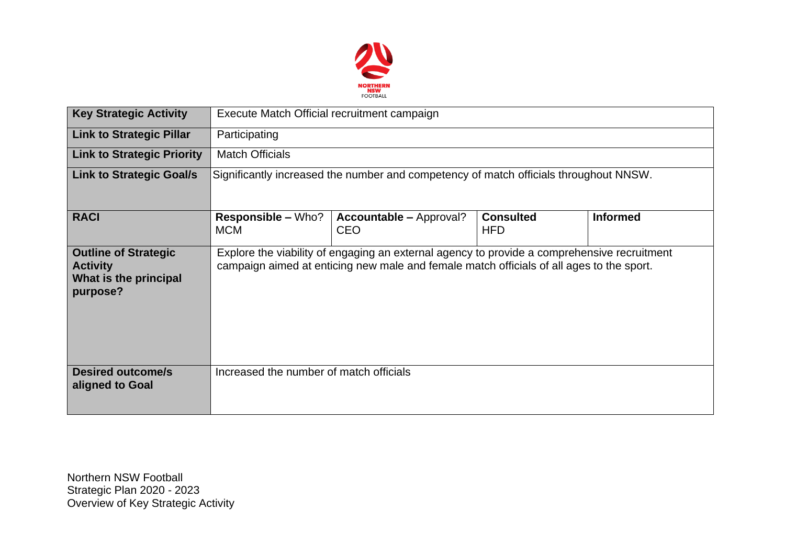

| <b>Key Strategic Activity</b>                                                       | Execute Match Official recruitment campaign                                                                                                                                             |                                              |                                |                 |  |  |  |  |
|-------------------------------------------------------------------------------------|-----------------------------------------------------------------------------------------------------------------------------------------------------------------------------------------|----------------------------------------------|--------------------------------|-----------------|--|--|--|--|
| <b>Link to Strategic Pillar</b>                                                     | Participating                                                                                                                                                                           |                                              |                                |                 |  |  |  |  |
| <b>Link to Strategic Priority</b>                                                   | <b>Match Officials</b>                                                                                                                                                                  |                                              |                                |                 |  |  |  |  |
| <b>Link to Strategic Goal/s</b>                                                     | Significantly increased the number and competency of match officials throughout NNSW.                                                                                                   |                                              |                                |                 |  |  |  |  |
| <b>RACI</b>                                                                         | <b>Responsible – Who?</b><br><b>MCM</b>                                                                                                                                                 | <b>Accountable – Approval?</b><br><b>CEO</b> | <b>Consulted</b><br><b>HFD</b> | <b>Informed</b> |  |  |  |  |
| <b>Outline of Strategic</b><br><b>Activity</b><br>What is the principal<br>purpose? | Explore the viability of engaging an external agency to provide a comprehensive recruitment<br>campaign aimed at enticing new male and female match officials of all ages to the sport. |                                              |                                |                 |  |  |  |  |
| <b>Desired outcome/s</b><br>aligned to Goal                                         | Increased the number of match officials                                                                                                                                                 |                                              |                                |                 |  |  |  |  |